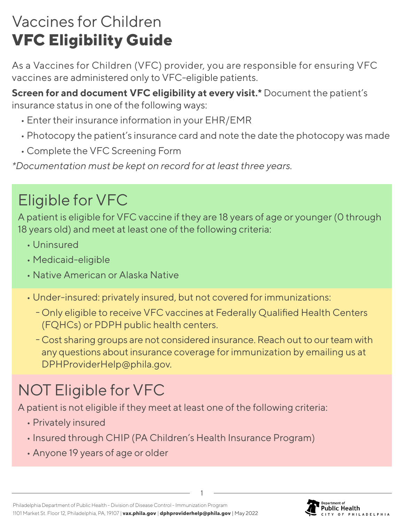## Vaccines for Children **VFC Eligibility Guide**

As a Vaccines for Children (VFC) provider, you are responsible for ensuring VFC vaccines are administered only to VFC-eligible patients.

**Screen for and document VFC eligibility at every visit.\*** Document the patient's insurance status in one of the following ways:

- Enter their insurance information in your EHR/EMR
- Photocopy the patient's insurance card and note the date the photocopy was made
- Complete the VFC Screening Form

*\*Documentation must be kept on record for at least three years.*

## Eligible for VFC

A patient is eligible for VFC vaccine if they are 18 years of age or younger (0 through 18 years old) and meet at least one of the following criteria:

- Uninsured
- Medicaid-eligible
- Native American or Alaska Native
- Under-insured: privately insured, but not covered for immunizations:
	- ƣ Only eligible to receive VFC vaccines at Federally Qualified Health Centers (FQHCs) or PDPH public health centers.
	- ƣ Cost sharing groups are not considered insurance. Reach out to our team with any questions about insurance coverage for immunization by emailing us at DPHProviderHelp@phila.gov.

# NOT Eligible for VFC

A patient is not eligible if they meet at least one of the following criteria:

- Privately insured
- Insured through CHIP (PA Children's Health Insurance Program)
- Anyone 19 years of age or older